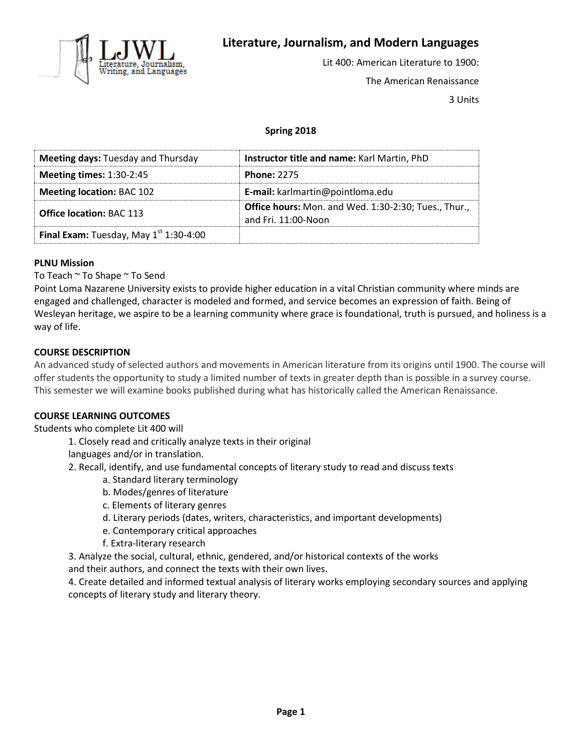

# **Literature, Journalism, and Modern Languages**

Lit 400: American Literature to 1900: The American Renaissance

3 Units

## **Spring 2018**

| <b>Meeting days: Tuesday and Thursday</b> | Instructor title and name: Karl Martin, PhD                                 |
|-------------------------------------------|-----------------------------------------------------------------------------|
| <b>Meeting times: 1:30-2:45</b>           | <b>Phone: 2275</b>                                                          |
| <b>Meeting location: BAC 102</b>          | E-mail: karlmartin@pointloma.edu                                            |
| <b>Office location: BAC 113</b>           | Office hours: Mon. and Wed. 1:30-2:30; Tues., Thur.,<br>and Fri. 11:00-Noon |
| Final Exam: Tuesday, May $1st 1:30-4:00$  |                                                                             |

#### **PLNU Mission**

To Teach ~ To Shape ~ To Send

Point Loma Nazarene University exists to provide higher education in a vital Christian community where minds are engaged and challenged, character is modeled and formed, and service becomes an expression of faith. Being of Wesleyan heritage, we aspire to be a learning community where grace is foundational, truth is pursued, and holiness is a way of life.

#### **COURSE DESCRIPTION**

An advanced study of selected authors and movements in American literature from its origins until 1900. The course will offer students the opportunity to study a limited number of texts in greater depth than is possible in a survey course. This semester we will examine books published during what has historically called the American Renaissance.

#### **COURSE LEARNING OUTCOMES**

Students who complete Lit 400 will

- 1. Closely read and critically analyze texts in their original
- languages and/or in translation.
- 2. Recall, identify, and use fundamental concepts of literary study to read and discuss texts
	- a. Standard literary terminology
		- b. Modes/genres of literature
		- c. Elements of literary genres
		- d. Literary periods (dates, writers, characteristics, and important developments)
		- e. Contemporary critical approaches
		- f. Extra-literary research

3. Analyze the social, cultural, ethnic, gendered, and/or historical contexts of the works and their authors, and connect the texts with their own lives.

4. Create detailed and informed textual analysis of literary works employing secondary sources and applying concepts of literary study and literary theory.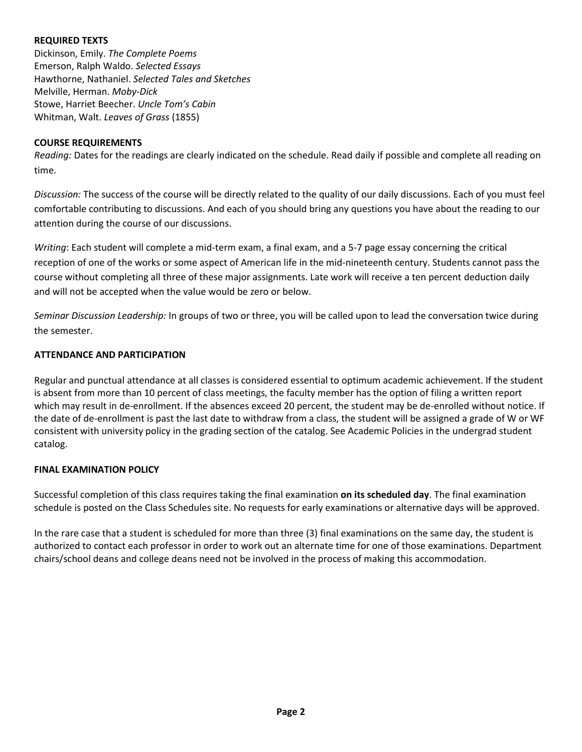### **REQUIRED TEXTS**

Dickinson, Emily. *The Complete Poems* Emerson, Ralph Waldo. *Selected Essays* Hawthorne, Nathaniel. *Selected Tales and Sketches* Melville, Herman. *Moby-Dick* Stowe, Harriet Beecher. *Uncle Tom's Cabin* Whitman, Walt. *Leaves of Grass* (1855)

#### **COURSE REQUIREMENTS**

*Reading:* Dates for the readings are clearly indicated on the schedule. Read daily if possible and complete all reading on time.

*Discussion:* The success of the course will be directly related to the quality of our daily discussions. Each of you must feel comfortable contributing to discussions. And each of you should bring any questions you have about the reading to our attention during the course of our discussions.

*Writing*: Each student will complete a mid-term exam, a final exam, and a 5-7 page essay concerning the critical reception of one of the works or some aspect of American life in the mid-nineteenth century. Students cannot pass the course without completing all three of these major assignments. Late work will receive a ten percent deduction daily and will not be accepted when the value would be zero or below.

*Seminar Discussion Leadership:* In groups of two or three, you will be called upon to lead the conversation twice during the semester.

## **ATTENDANCE AND PARTICIPATION**

Regular and punctual attendance at all classes is considered essential to optimum academic achievement. If the student is absent from more than 10 percent of class meetings, the faculty member has the option of filing a written report which may result in de-enrollment. If the absences exceed 20 percent, the student may be de-enrolled without notice. If the date of de-enrollment is past the last date to withdraw from a class, the student will be assigned a grade of W or WF consistent with university policy in the grading section of the catalog. See Academic Policies in the undergrad student catalog.

## **FINAL EXAMINATION POLICY**

Successful completion of this class requires taking the final examination **on its scheduled day**. The final examination schedule is posted on the Class Schedules site. No requests for early examinations or alternative days will be approved.

In the rare case that a student is scheduled for more than three (3) final examinations on the same day, the student is authorized to contact each professor in order to work out an alternate time for one of those examinations. Department chairs/school deans and college deans need not be involved in the process of making this accommodation.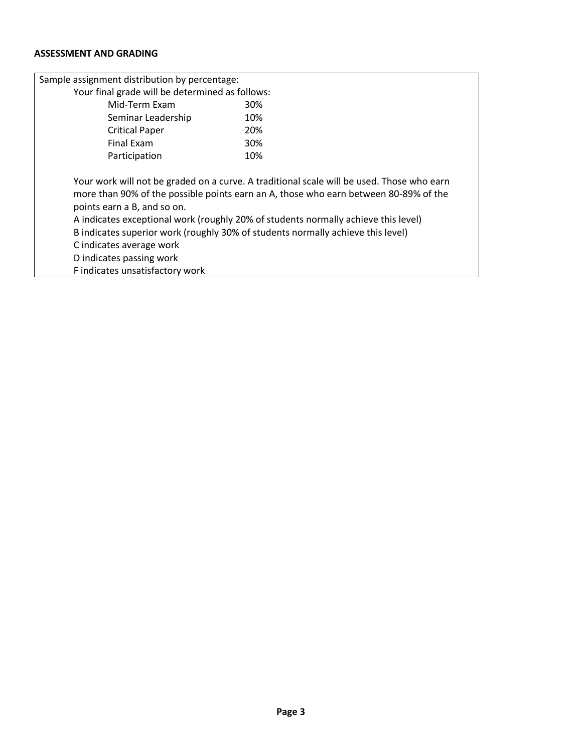## **ASSESSMENT AND GRADING**

| Sample assignment distribution by percentage:                                                                                                                                                             |                                                                                                                                                                                                                                                                         |
|-----------------------------------------------------------------------------------------------------------------------------------------------------------------------------------------------------------|-------------------------------------------------------------------------------------------------------------------------------------------------------------------------------------------------------------------------------------------------------------------------|
| Your final grade will be determined as follows:                                                                                                                                                           |                                                                                                                                                                                                                                                                         |
| Mid-Term Exam                                                                                                                                                                                             | 30%                                                                                                                                                                                                                                                                     |
| Seminar Leadership                                                                                                                                                                                        | 10%                                                                                                                                                                                                                                                                     |
| <b>Critical Paper</b>                                                                                                                                                                                     | 20%                                                                                                                                                                                                                                                                     |
| Final Exam                                                                                                                                                                                                | <b>30%</b>                                                                                                                                                                                                                                                              |
| Participation                                                                                                                                                                                             | 10%                                                                                                                                                                                                                                                                     |
| points earn a B, and so on.<br>B indicates superior work (roughly 30% of students normally achieve this level)<br>C indicates average work<br>D indicates passing work<br>F indicates unsatisfactory work | Your work will not be graded on a curve. A traditional scale will be used. Those who earn<br>more than 90% of the possible points earn an A, those who earn between 80-89% of the<br>A indicates exceptional work (roughly 20% of students normally achieve this level) |